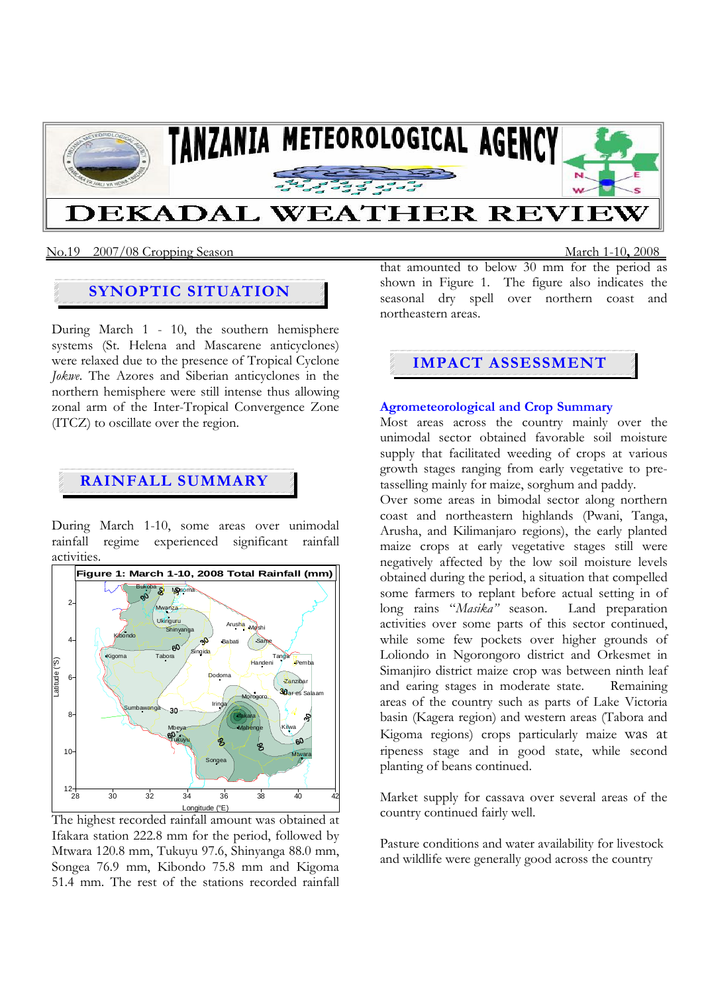

### No.19 2007/08 Cropping Season March 1-10**,** 2008

# **SYNOPTIC SITUATION**

During March 1 - 10, the southern hemisphere systems (St. Helena and Mascarene anticyclones) were relaxed due to the presence of Tropical Cyclone *Jokwe*. The Azores and Siberian anticyclones in the northern hemisphere were still intense thus allowing zonal arm of the Inter-Tropical Convergence Zone (ITCZ) to oscillate over the region.

## **RAINFALL SUMMARY**

During March 1-10, some areas over unimodal rainfall regime experienced significant rainfall activities.



The highest recorded rainfall amount was obtained at Ifakara station 222.8 mm for the period, followed by Mtwara 120.8 mm, Tukuyu 97.6, Shinyanga 88.0 mm, Songea 76.9 mm, Kibondo 75.8 mm and Kigoma 51.4 mm. The rest of the stations recorded rainfall

that amounted to below 30 mm for the period as shown in Figure 1. The figure also indicates the seasonal dry spell over northern coast and northeastern areas.

## **IMPACT ASSESSMENT**

### **Agrometeorological and Crop Summary**

Most areas across the country mainly over the unimodal sector obtained favorable soil moisture supply that facilitated weeding of crops at various growth stages ranging from early vegetative to pretasselling mainly for maize, sorghum and paddy.

Over some areas in bimodal sector along northern coast and northeastern highlands (Pwani, Tanga, Arusha, and Kilimanjaro regions), the early planted maize crops at early vegetative stages still were negatively affected by the low soil moisture levels obtained during the period, a situation that compelled some farmers to replant before actual setting in of long rains "*Masika"* season. Land preparation activities over some parts of this sector continued, while some few pockets over higher grounds of Loliondo in Ngorongoro district and Orkesmet in Simanjiro district maize crop was between ninth leaf and earing stages in moderate state. Remaining areas of the country such as parts of Lake Victoria basin (Kagera region) and western areas (Tabora and Kigoma regions) crops particularly maize was at ripeness stage and in good state, while second planting of beans continued.

Market supply for cassava over several areas of the country continued fairly well.

Pasture conditions and water availability for livestock and wildlife were generally good across the country